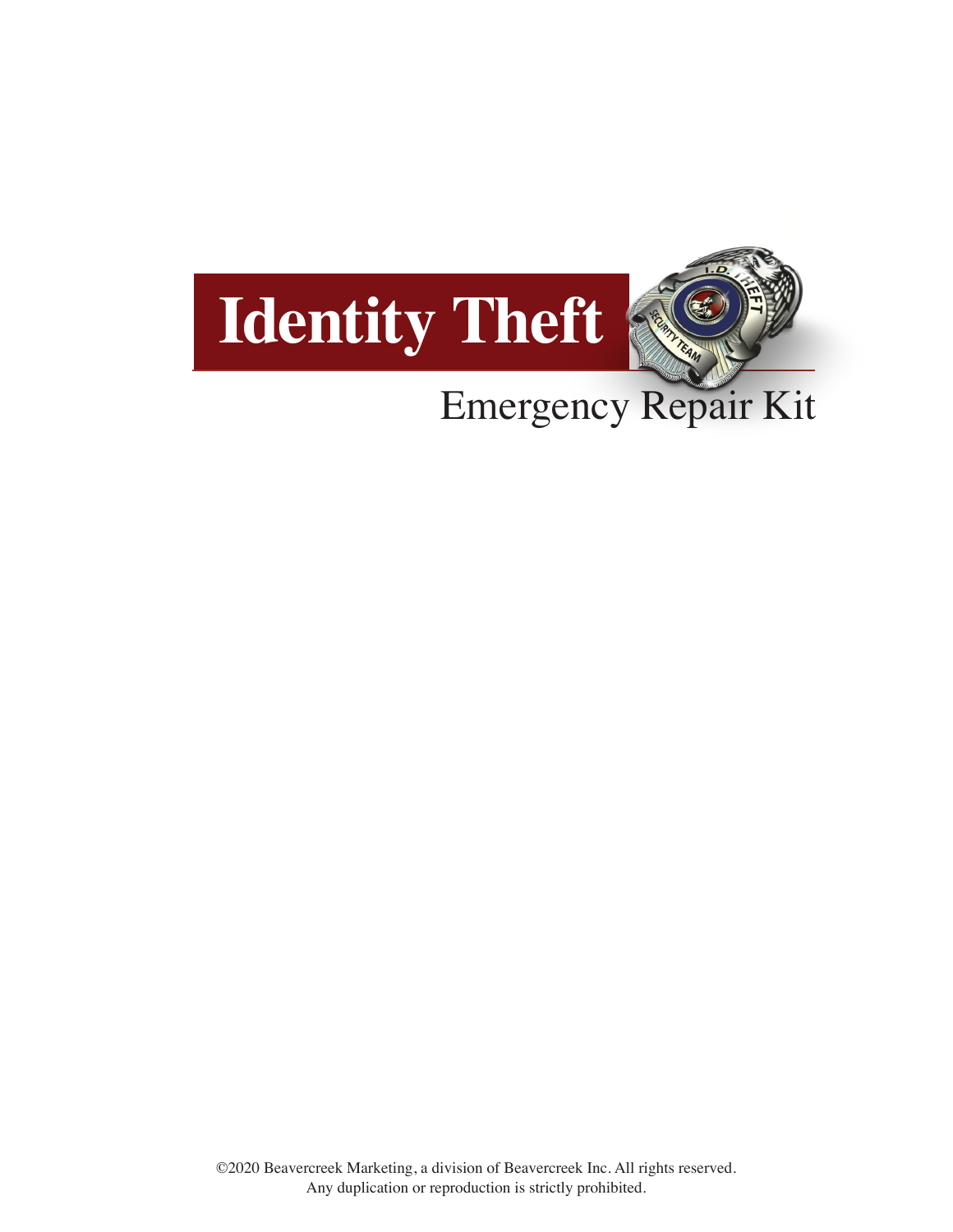

### Emergency Repair Kit

©2020 Beavercreek Marketing, a division of Beavercreek Inc. All rights reserved. Any duplication or reproduction is strictly prohibited.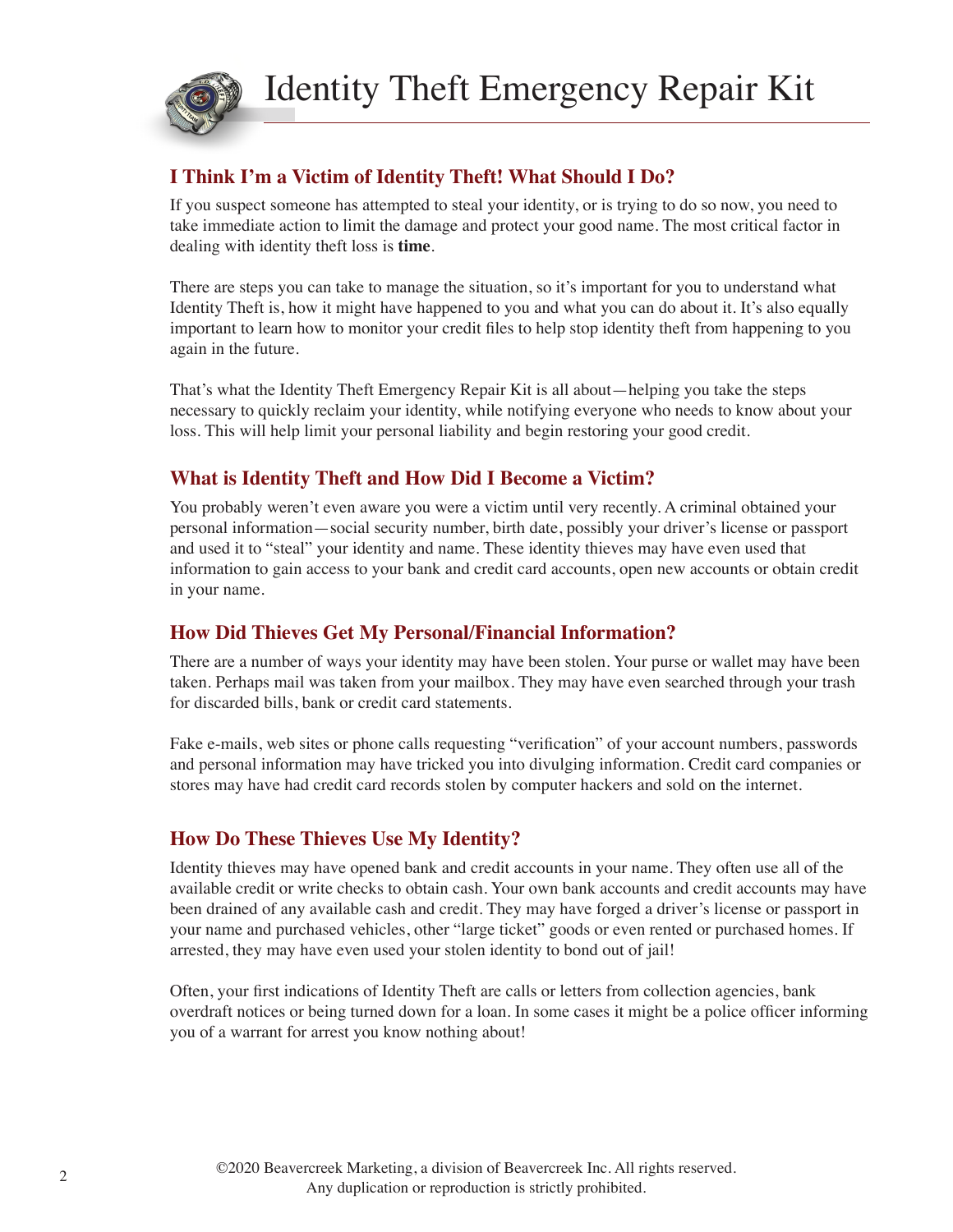

#### **I Think I'm a Victim of Identity Theft! What Should I Do?**

If you suspect someone has attempted to steal your identity, or is trying to do so now, you need to take immediate action to limit the damage and protect your good name. The most critical factor in dealing with identity theft loss is **time**.

There are steps you can take to manage the situation, so it's important for you to understand what Identity Theft is, how it might have happened to you and what you can do about it. It's also equally important to learn how to monitor your credit files to help stop identity theft from happening to you again in the future.

That's what the Identity Theft Emergency Repair Kit is all about—helping you take the steps necessary to quickly reclaim your identity, while notifying everyone who needs to know about your loss. This will help limit your personal liability and begin restoring your good credit.

#### **What is Identity Theft and How Did I Become a Victim?**

You probably weren't even aware you were a victim until very recently. A criminal obtained your personal information—social security number, birth date, possibly your driver's license or passport and used it to "steal" your identity and name. These identity thieves may have even used that information to gain access to your bank and credit card accounts, open new accounts or obtain credit in your name.

#### **How Did Thieves Get My Personal/Financial Information?**

There are a number of ways your identity may have been stolen. Your purse or wallet may have been taken. Perhaps mail was taken from your mailbox. They may have even searched through your trash for discarded bills, bank or credit card statements.

Fake e-mails, web sites or phone calls requesting "verification" of your account numbers, passwords and personal information may have tricked you into divulging information. Credit card companies or stores may have had credit card records stolen by computer hackers and sold on the internet.

#### **How Do These Thieves Use My Identity?**

Identity thieves may have opened bank and credit accounts in your name. They often use all of the available credit or write checks to obtain cash. Your own bank accounts and credit accounts may have been drained of any available cash and credit. They may have forged a driver's license or passport in your name and purchased vehicles, other "large ticket" goods or even rented or purchased homes. If arrested, they may have even used your stolen identity to bond out of jail!

Often, your first indications of Identity Theft are calls or letters from collection agencies, bank overdraft notices or being turned down for a loan. In some cases it might be a police officer informing you of a warrant for arrest you know nothing about!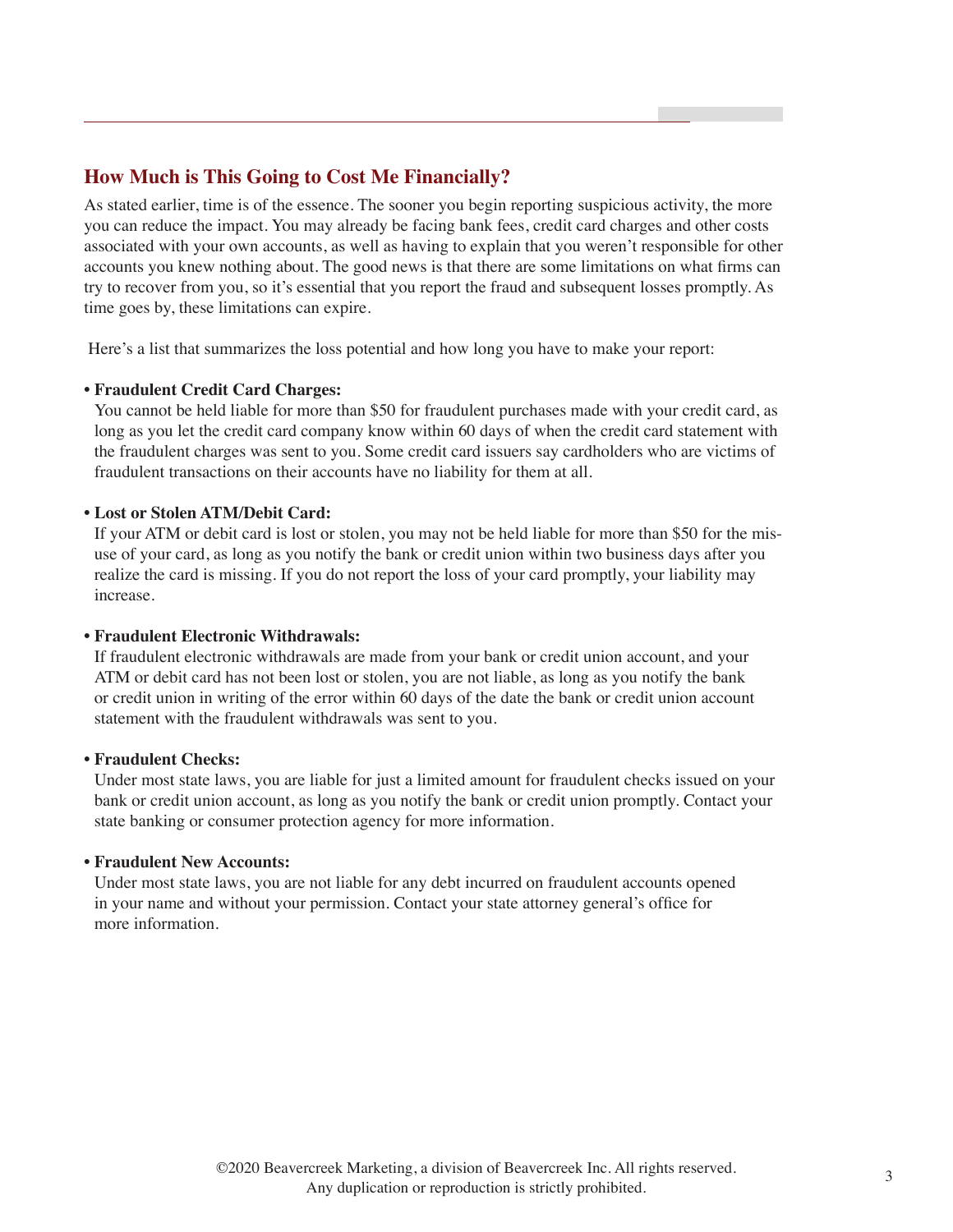#### **How Much is This Going to Cost Me Financially?**

As stated earlier, time is of the essence. The sooner you begin reporting suspicious activity, the more you can reduce the impact. You may already be facing bank fees, credit card charges and other costs associated with your own accounts, as well as having to explain that you weren't responsible for other accounts you knew nothing about. The good news is that there are some limitations on what firms can try to recover from you, so it's essential that you report the fraud and subsequent losses promptly. As time goes by, these limitations can expire.

Here's a list that summarizes the loss potential and how long you have to make your report:

#### **• Fraudulent Credit Card Charges:**

You cannot be held liable for more than \$50 for fraudulent purchases made with your credit card, as long as you let the credit card company know within 60 days of when the credit card statement with the fraudulent charges was sent to you. Some credit card issuers say cardholders who are victims of fraudulent transactions on their accounts have no liability for them at all.

#### **• Lost or Stolen ATM/Debit Card:**

If your ATM or debit card is lost or stolen, you may not be held liable for more than \$50 for the misuse of your card, as long as you notify the bank or credit union within two business days after you realize the card is missing. If you do not report the loss of your card promptly, your liability may increase.

#### **• Fraudulent Electronic Withdrawals:**

If fraudulent electronic withdrawals are made from your bank or credit union account, and your ATM or debit card has not been lost or stolen, you are not liable, as long as you notify the bank or credit union in writing of the error within 60 days of the date the bank or credit union account statement with the fraudulent withdrawals was sent to you.

#### **• Fraudulent Checks:**

Under most state laws, you are liable for just a limited amount for fraudulent checks issued on your bank or credit union account, as long as you notify the bank or credit union promptly. Contact your state banking or consumer protection agency for more information.

#### **• Fraudulent New Accounts:**

Under most state laws, you are not liable for any debt incurred on fraudulent accounts opened in your name and without your permission. Contact your state attorney general's office for more information.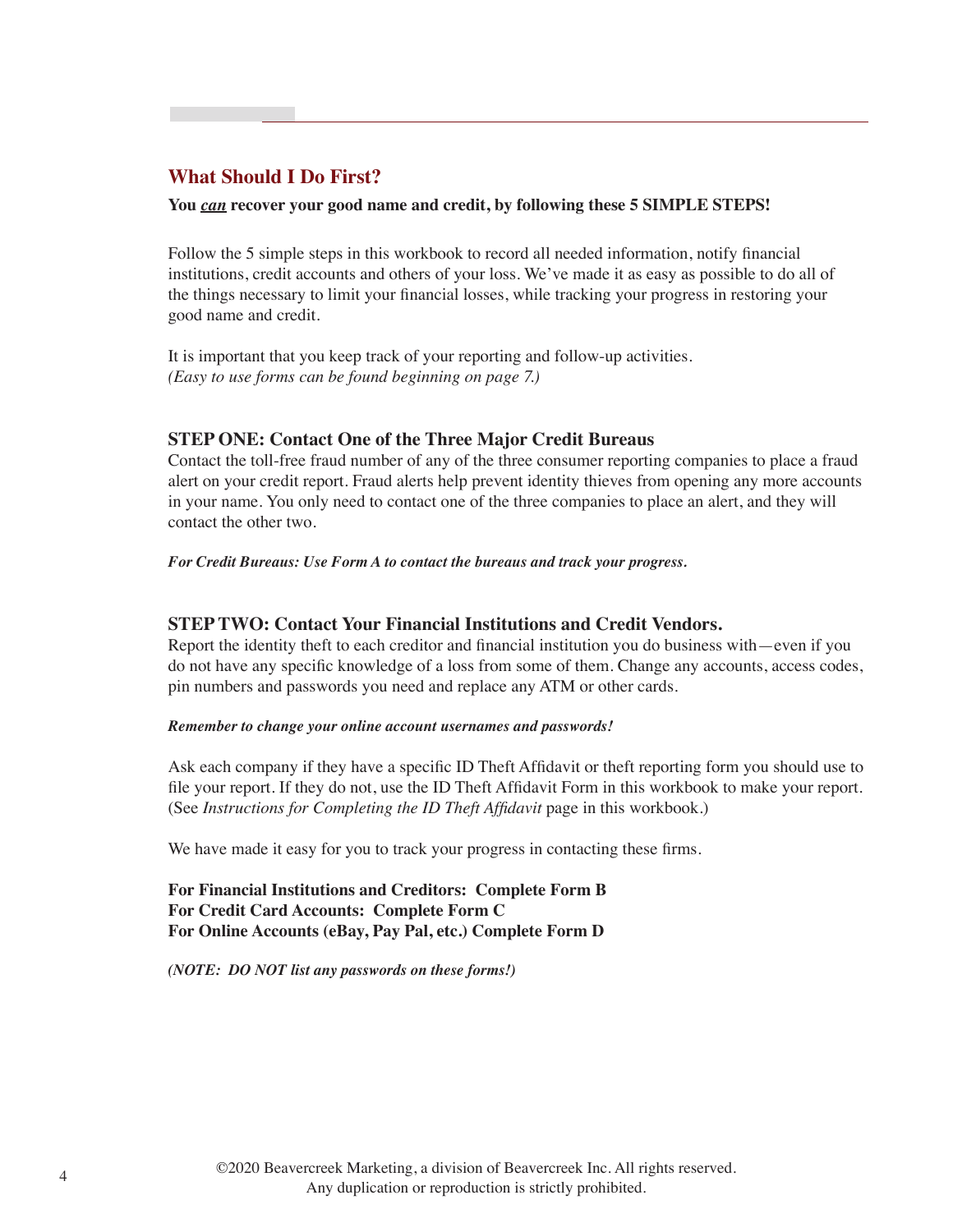#### **What Should I Do First?**

#### **You** *can* **recover your good name and credit, by following these 5 SIMPLE STEPS!**

Follow the 5 simple steps in this workbook to record all needed information, notify financial institutions, credit accounts and others of your loss. We've made it as easy as possible to do all of the things necessary to limit your financial losses, while tracking your progress in restoring your good name and credit.

It is important that you keep track of your reporting and follow-up activities. *(Easy to use forms can be found beginning on page 7.)*

#### **STEP ONE: Contact One of the Three Major Credit Bureaus**

Contact the toll-free fraud number of any of the three consumer reporting companies to place a fraud alert on your credit report. Fraud alerts help prevent identity thieves from opening any more accounts in your name. You only need to contact one of the three companies to place an alert, and they will contact the other two.

*For Credit Bureaus: Use Form A to contact the bureaus and track your progress.*

#### **STEP TWO: Contact Your Financial Institutions and Credit Vendors.**

Report the identity theft to each creditor and financial institution you do business with—even if you do not have any specific knowledge of a loss from some of them. Change any accounts, access codes, pin numbers and passwords you need and replace any ATM or other cards.

#### *Remember to change your online account usernames and passwords!*

Ask each company if they have a specific ID Theft Affidavit or theft reporting form you should use to file your report. If they do not, use the ID Theft Affidavit Form in this workbook to make your report. (See *Instructions for Completing the ID Theft Affidavit* page in this workbook.)

We have made it easy for you to track your progress in contacting these firms.

**For Financial Institutions and Creditors: Complete Form B For Credit Card Accounts: Complete Form C For Online Accounts (eBay, Pay Pal, etc.) Complete Form D**

*(NOTE: DO NOT list any passwords on these forms!)*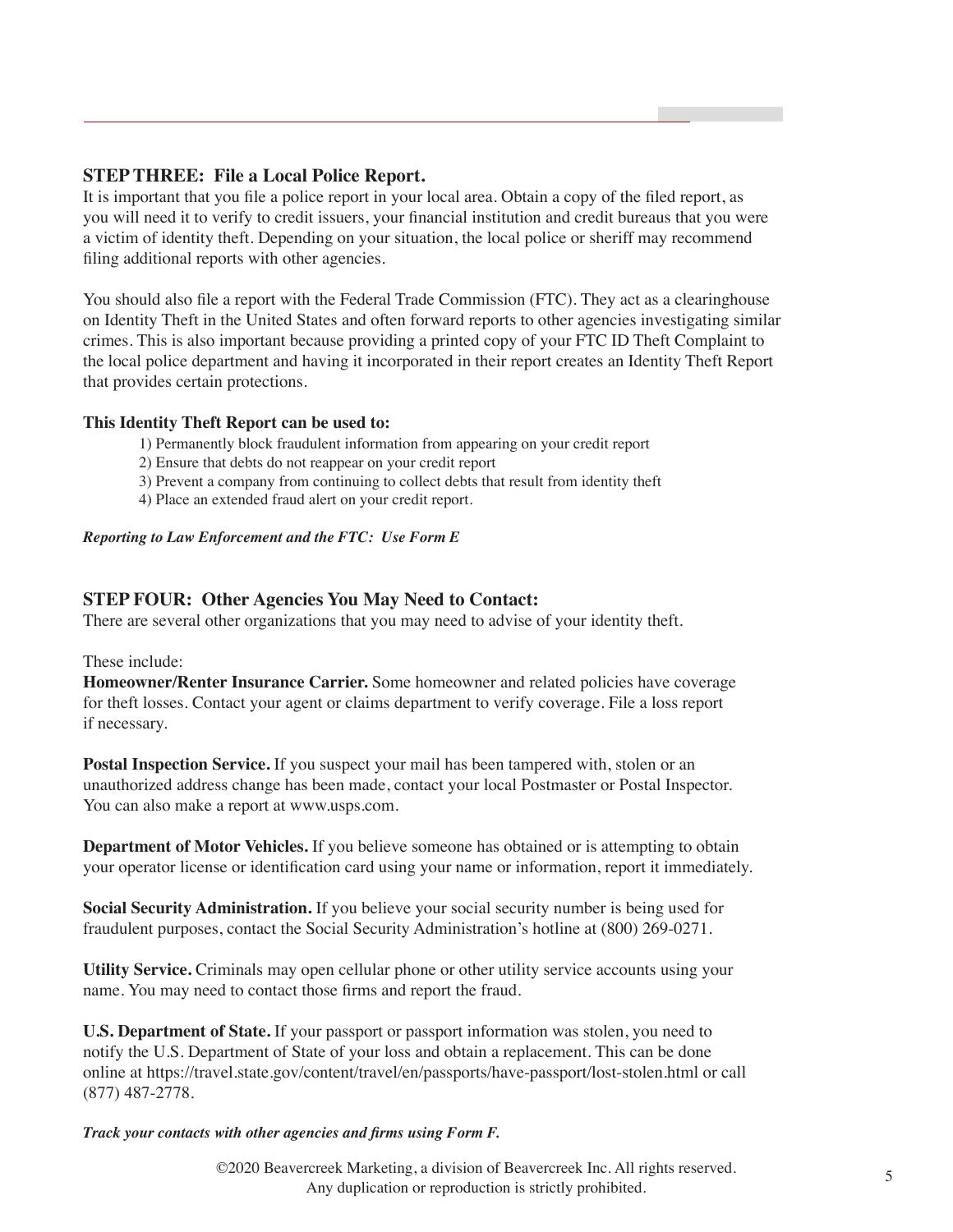#### **STEP THREE: File a Local Police Report.**

It is important that you file a police report in your local area. Obtain a copy of the filed report, as you will need it to verify to credit issuers, your financial institution and credit bureaus that you were a victim of identity theft. Depending on your situation, the local police or sheriff may recommend filing additional reports with other agencies.

You should also file a report with the Federal Trade Commission (FTC). They act as a clearinghouse on Identity Theft in the United States and often forward reports to other agencies investigating similar crimes. This is also important because providing a printed copy of your FTC ID Theft Complaint to the local police department and having it incorporated in their report creates an Identity Theft Report that provides certain protections.

#### **This Identity Theft Report can be used to:**

- 1) Permanently block fraudulent information from appearing on your credit report
- 2) Ensure that debts do not reappear on your credit report
- 3) Prevent a company from continuing to collect debts that result from identity theft
- 4) Place an extended fraud alert on your credit report.

#### *Reporting to Law Enforcement and the FTC: Use Form E*

#### **STEP FOUR: Other Agencies You May Need to Contact:**

There are several other organizations that you may need to advise of your identity theft.

#### These include:

**Homeowner/Renter Insurance Carrier.** Some homeowner and related policies have coverage for theft losses. Contact your agent or claims department to verify coverage. File a loss report if necessary.

**Postal Inspection Service.** If you suspect your mail has been tampered with, stolen or an unauthorized address change has been made, contact your local Postmaster or Postal Inspector. You can also make a report at www.usps.com.

**Department of Motor Vehicles.** If you believe someone has obtained or is attempting to obtain your operator license or identification card using your name or information, report it immediately.

**Social Security Administration.** If you believe your social security number is being used for fraudulent purposes, contact the Social Security Administration's hotline at (800) 269-0271.

**Utility Service.** Criminals may open cellular phone or other utility service accounts using your name. You may need to contact those firms and report the fraud.

**U.S. Department of State.** If your passport or passport information was stolen, you need to notify the U.S. Department of State of your loss and obtain a replacement. This can be done online at https://travel.state.gov/content/travel/en/passports/have-passport/lost-stolen.html or call (877) 487-2778.

*Track your contacts with other agencies and firms using Form F.*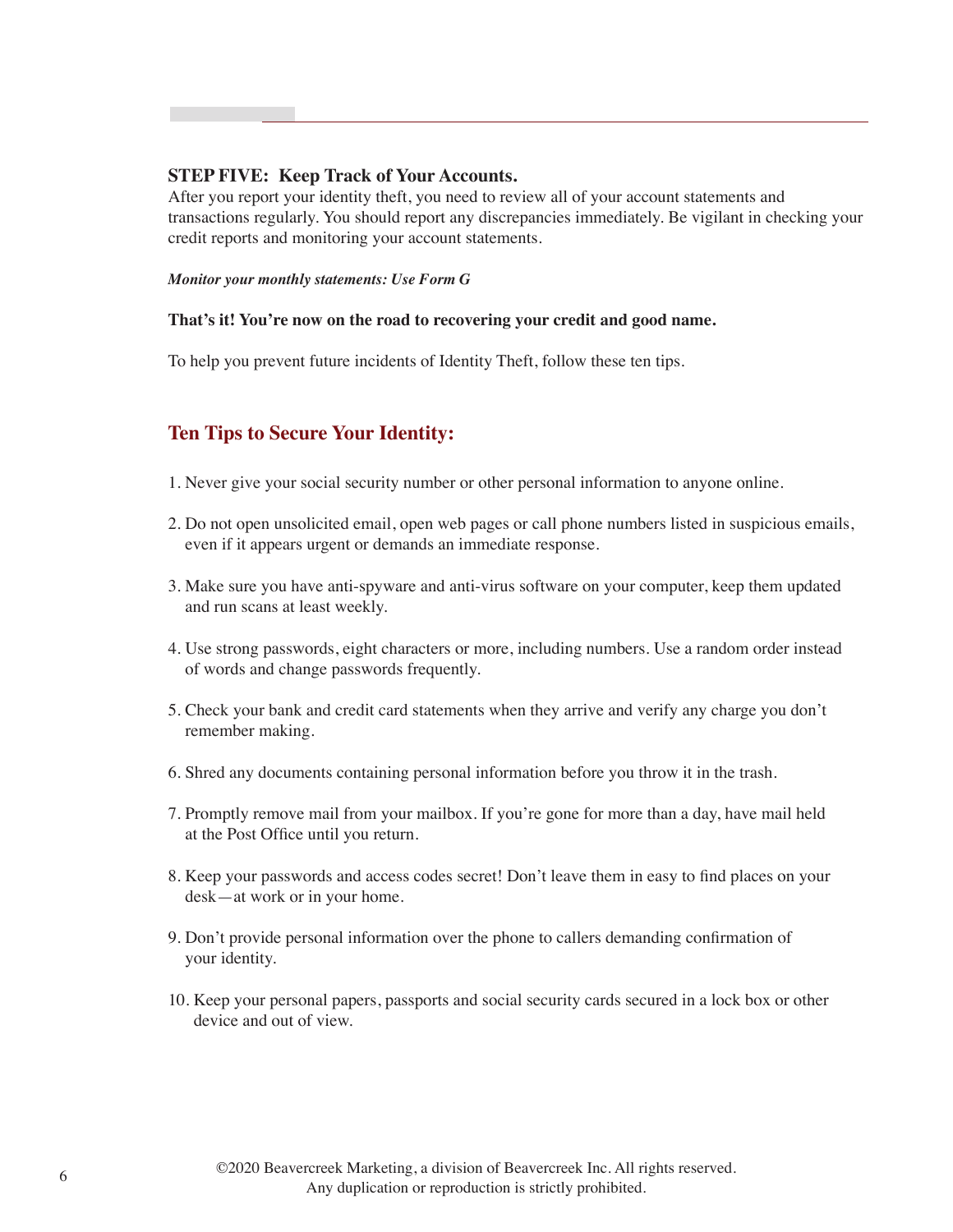#### **STEP FIVE: Keep Track of Your Accounts.**

After you report your identity theft, you need to review all of your account statements and transactions regularly. You should report any discrepancies immediately. Be vigilant in checking your credit reports and monitoring your account statements.

#### *Monitor your monthly statements: Use Form G*

#### **That's it! You're now on the road to recovering your credit and good name.**

To help you prevent future incidents of Identity Theft, follow these ten tips.

#### **Ten Tips to Secure Your Identity:**

- 1. Never give your social security number or other personal information to anyone online.
- 2. Do not open unsolicited email, open web pages or call phone numbers listed in suspicious emails, even if it appears urgent or demands an immediate response.
- 3. Make sure you have anti-spyware and anti-virus software on your computer, keep them updated and run scans at least weekly.
- 4. Use strong passwords, eight characters or more, including numbers. Use a random order instead of words and change passwords frequently.
- 5. Check your bank and credit card statements when they arrive and verify any charge you don't remember making.
- 6. Shred any documents containing personal information before you throw it in the trash.
- 7. Promptly remove mail from your mailbox. If you're gone for more than a day, have mail held at the Post Office until you return.
- 8. Keep your passwords and access codes secret! Don't leave them in easy to find places on your desk—at work or in your home.
- 9. Don't provide personal information over the phone to callers demanding confirmation of your identity.
- 10. Keep your personal papers, passports and social security cards secured in a lock box or other device and out of view.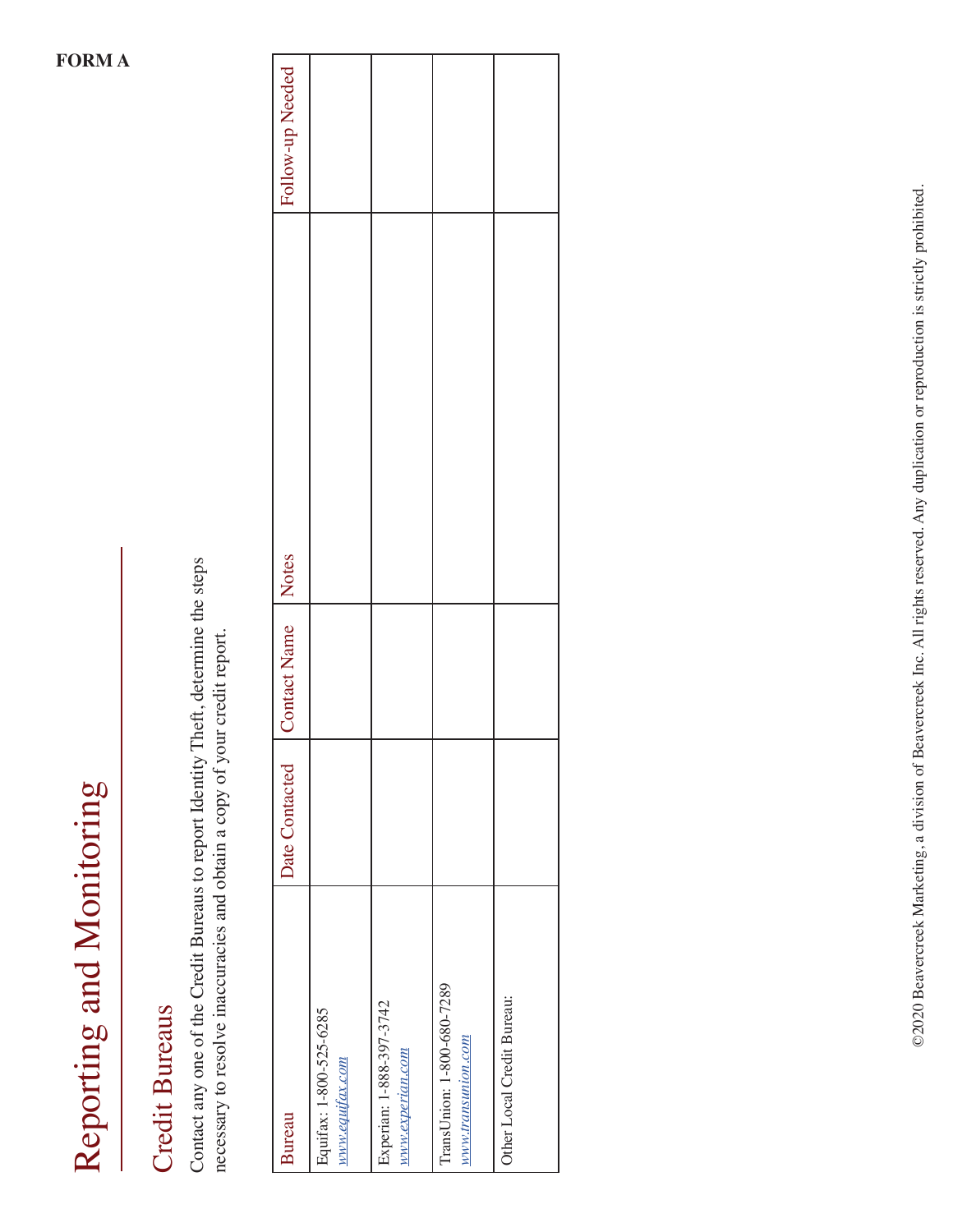## **Credit Bureaus** Credit Bureaus

Contact any one of the Credit Bureaus to report Identity Theft, determine the steps Contact any one of the Credit Bureaus to report Identity Theft, determine the steps necessary to resolve inaccuracies and obtain a copy of your credit report. necessary to resolve inaccuracies and obtain a copy of your credit report.

| <b>Bureau</b>                                    | Date Contacted | Contact Name   Notes | Follow-up Needed |
|--------------------------------------------------|----------------|----------------------|------------------|
| Equifax: 1-800-525-6285<br>www.equifax.com       |                |                      |                  |
| Experian: 1-888-397-3742<br>www.experian.com     |                |                      |                  |
| TransUnion: 1-800-680-7289<br>www.transunion.com |                |                      |                  |
| Other Local Credit Bureau:                       |                |                      |                  |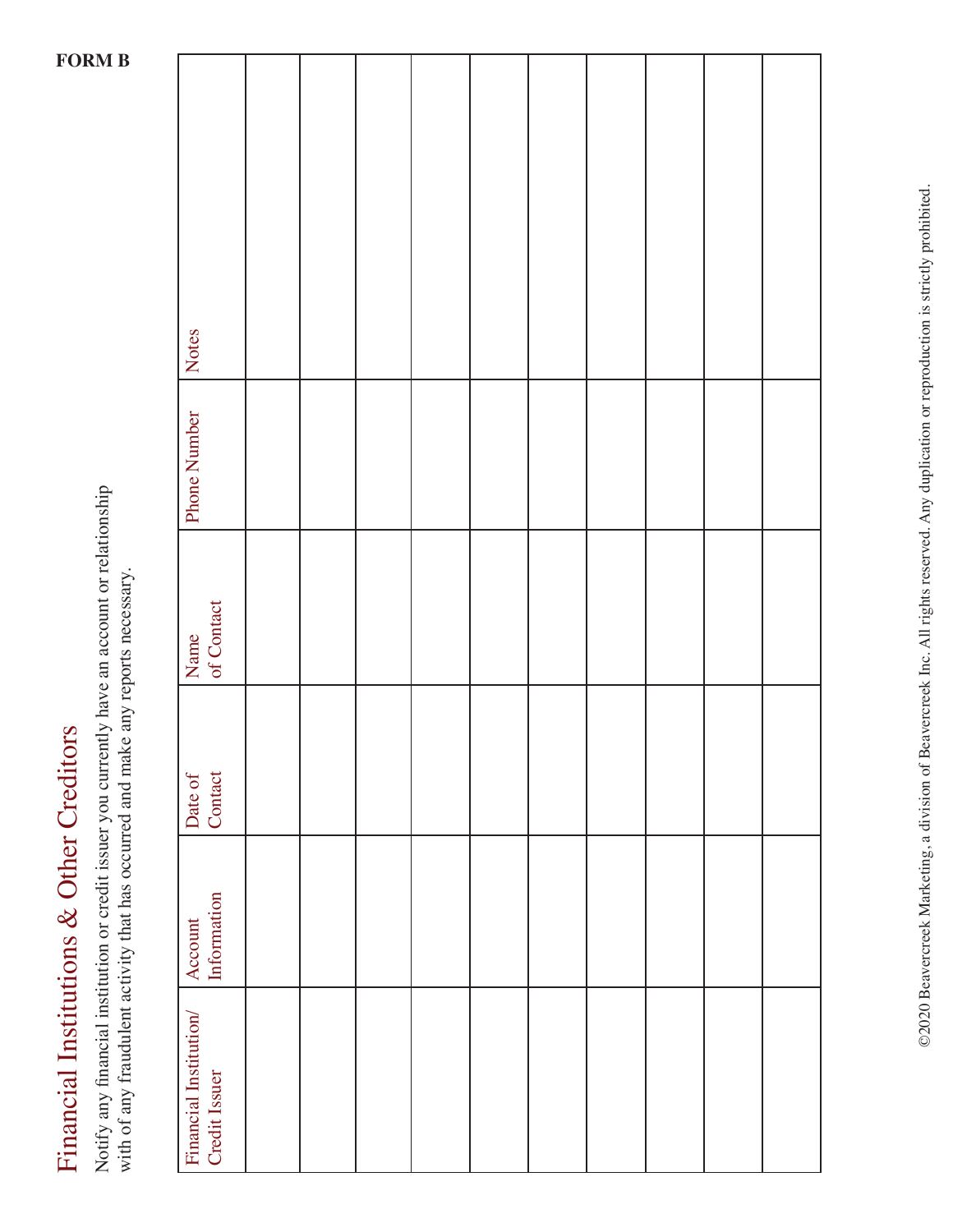Financial Institutions & Other Creditors Financial Institutions & Other Creditors

Notify any financial institution or credit issuer you currently have an account or relationship Notify any financial institution or credit issuer you currently have an account or relationship with of any fraudulent activity that has occurred and make any reports necessary. with of any fraudulent activity that has occurred and make any reports necessary.

| Notes                                   |  |  |  |  |  |
|-----------------------------------------|--|--|--|--|--|
| Phone Number                            |  |  |  |  |  |
| Name<br>of Contact                      |  |  |  |  |  |
| Date of<br>Contact                      |  |  |  |  |  |
| Account<br>Information                  |  |  |  |  |  |
| Financial Institution/<br>Credit Issuer |  |  |  |  |  |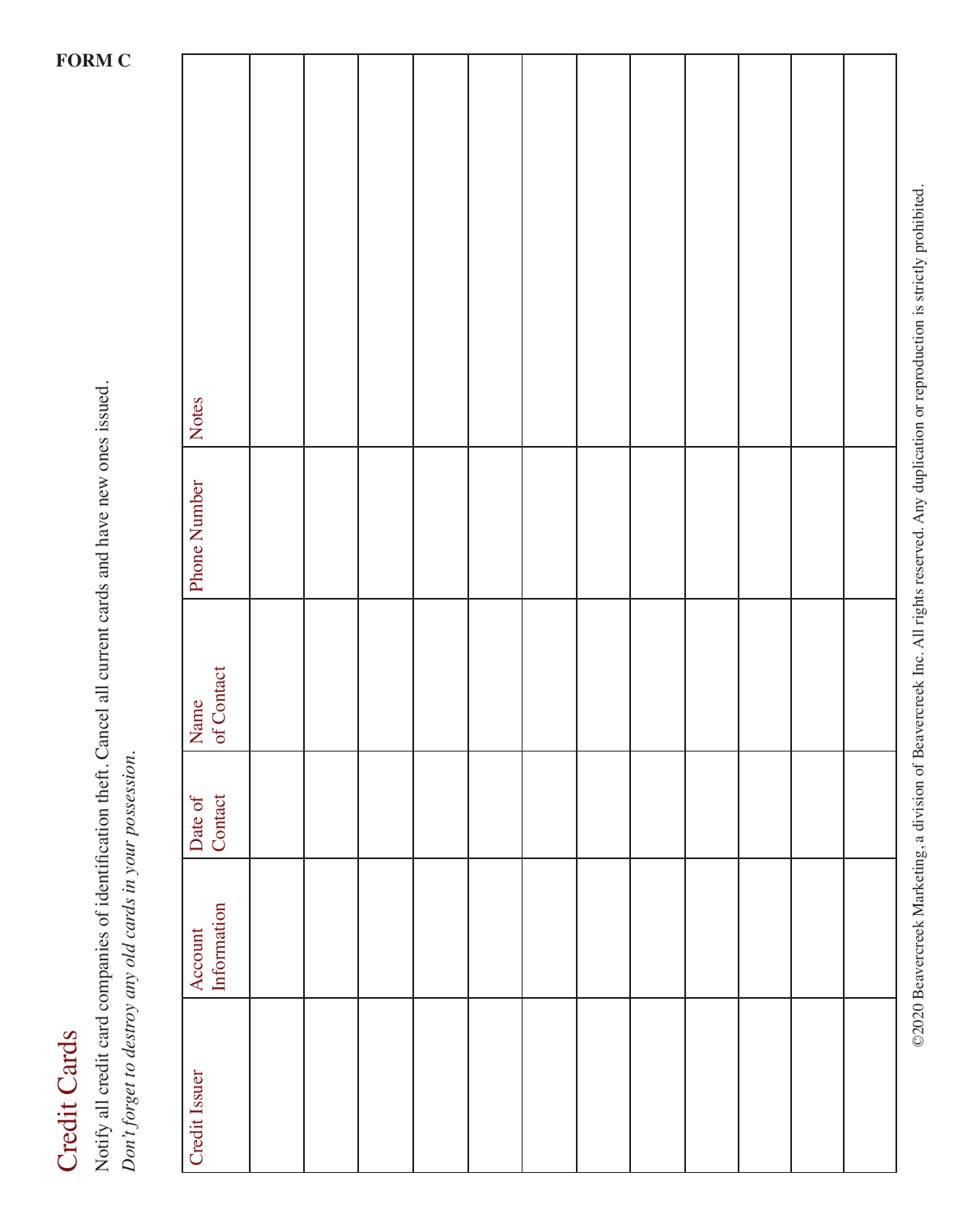## **Credit Cards** Credit Cards

Notify all credit card companies of identification theft. Cancel all current cards and have new ones issued. Notify all credit card companies of identification theft. Cancel all current cards and have new ones issued. *Don't forget to destroy any old cards in your possession.*  Don't forget to destroy any old cards in your possession.

| Notes         |                    |  |  |  |  |  |  |
|---------------|--------------------|--|--|--|--|--|--|
| Phone Number  |                    |  |  |  |  |  |  |
|               | Name<br>of Contact |  |  |  |  |  |  |
| Date of       | Contact            |  |  |  |  |  |  |
| Account       | Information        |  |  |  |  |  |  |
| Credit Issuer |                    |  |  |  |  |  |  |

©2020 Beavercreek Marketing, a division of Beavercreek Inc. All rights reserved. Any duplication or reproduction is strictly prohibited. ©2020 Beavercreek Marketing, a division of Beavercreek Inc. All rights reserved. Any duplication or reproduction is strictly prohibited.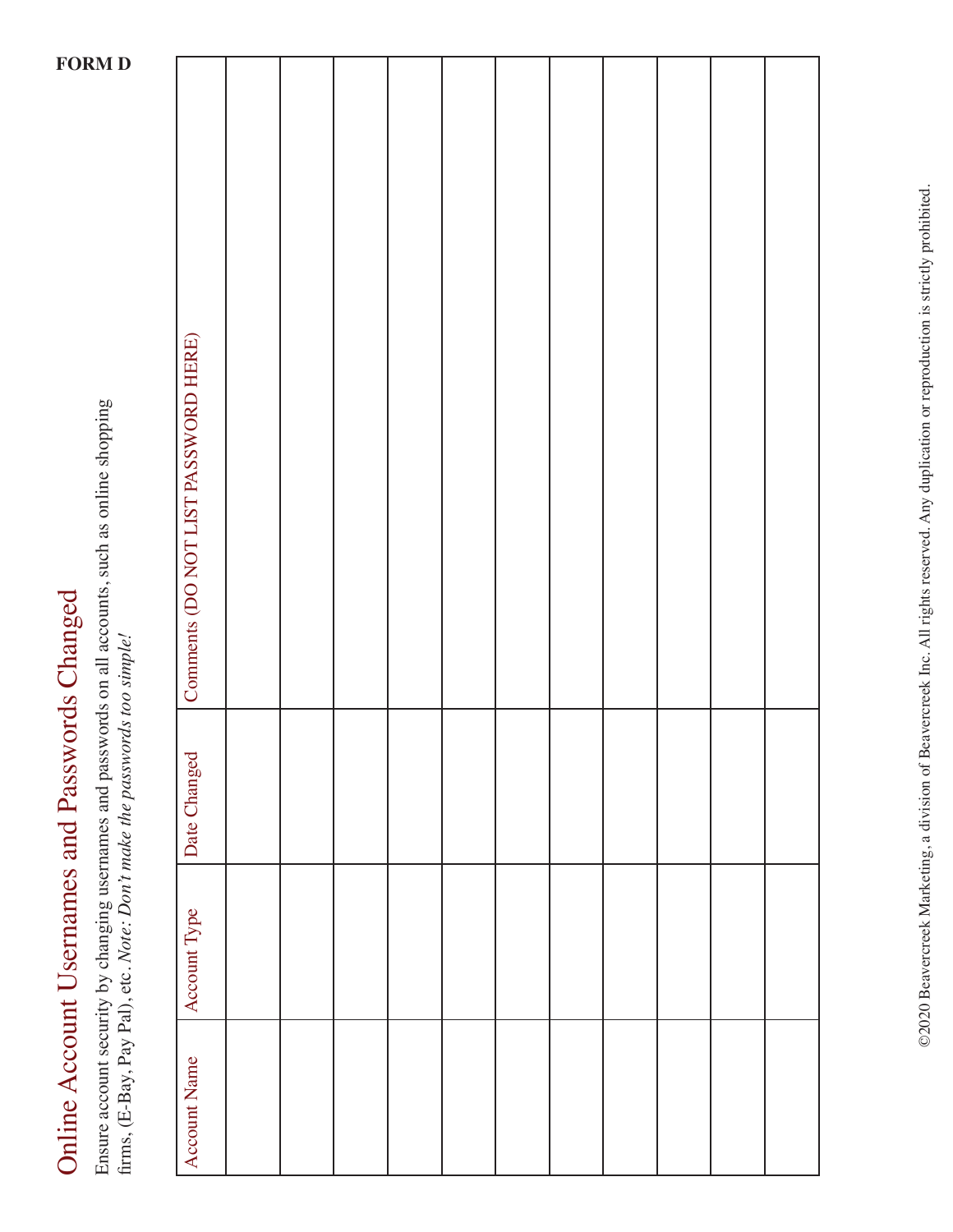| てくと<br>℩<br>ڗ                                |
|----------------------------------------------|
| Ì<br><b>SURFACTIVE CONTRACT DESCRIPTIONS</b> |
| ļ<br>:                                       |
|                                              |
| $\frac{1}{2}$                                |
|                                              |

Ensure account security by changing usernames and passwords on all accounts, such as online shopping Ensure account security by changing usernames and passwords on all accounts, such as online shopping firms, (E-Bay, Pay Pal), etc. Note: Don't make the passwords too simple! firms, (E-Bay, Pay Pal), etc. *Note: Don't make the passwords too simple!*

| Comments (DO NOT LIST PASSWORD HERE) |  |  |  |  |  |  |
|--------------------------------------|--|--|--|--|--|--|
| Date Changed                         |  |  |  |  |  |  |
| Account Type                         |  |  |  |  |  |  |
| Account Name                         |  |  |  |  |  |  |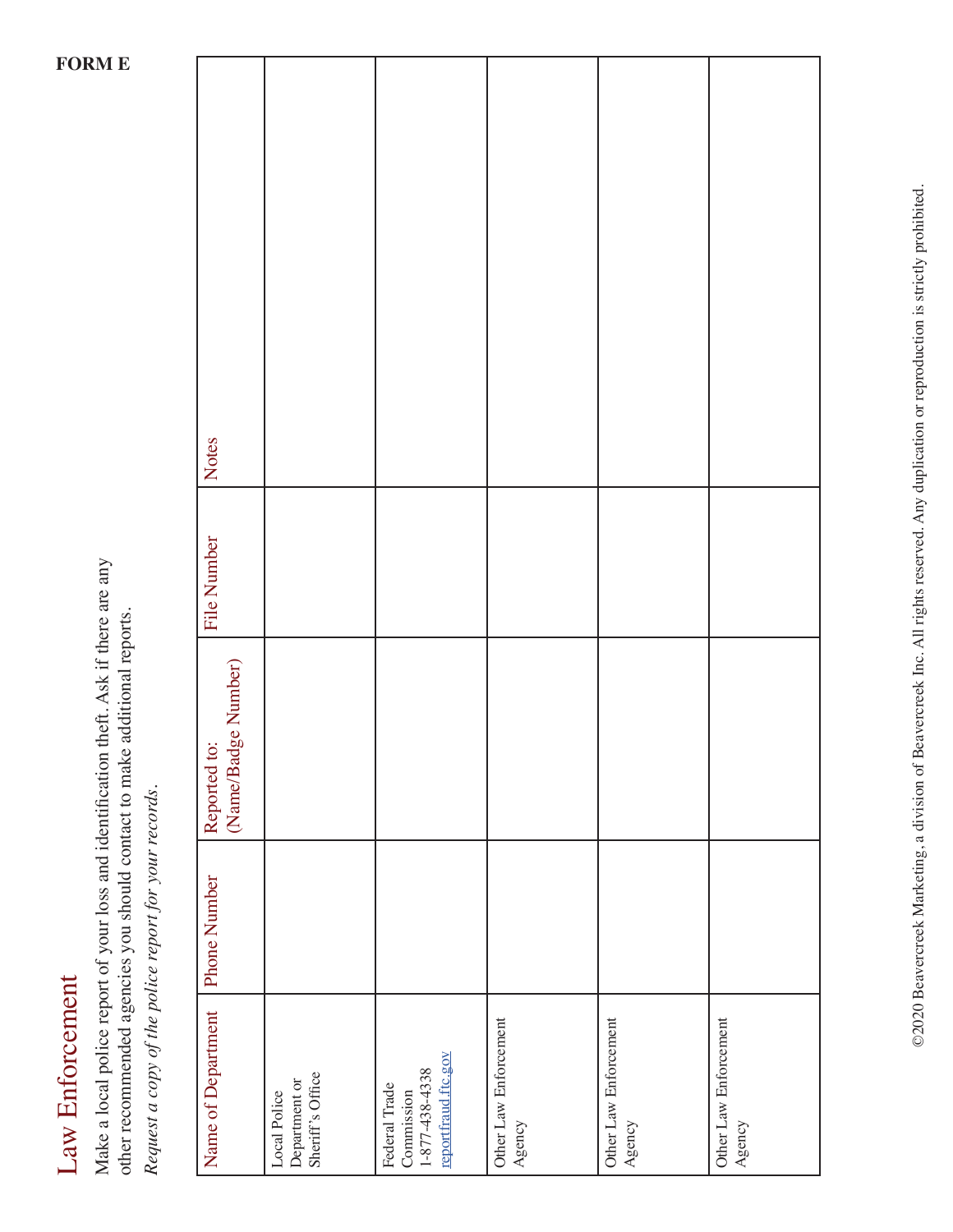# Law Enforcement Law Enforcement

Make a local police report of your loss and identification theft. Ask if there are any Make a local police report of your loss and identification theft. Ask if there are any other recommended agencies you should contact to make additional reports. other recommended agencies you should contact to make additional reports. Request a copy of the police report for your records. *Request a copy of the police report for your records.*

| Notes                                  |                                                   |                                                                              |                                 |                                 |                                 |
|----------------------------------------|---------------------------------------------------|------------------------------------------------------------------------------|---------------------------------|---------------------------------|---------------------------------|
| <b>File Number</b>                     |                                                   |                                                                              |                                 |                                 |                                 |
| (Name/Badge Number)<br>to:<br>Reported |                                                   |                                                                              |                                 |                                 |                                 |
| Phone Number                           |                                                   |                                                                              |                                 |                                 |                                 |
| Name of Department                     | Department or<br>Sheriff's Office<br>Local Police | reportfraud.ftc.gov<br>$1 - 877 - 438 - 4338$<br>Federal Trade<br>Commission | Other Law Enforcement<br>Agency | Other Law Enforcement<br>Agency | Other Law Enforcement<br>Agency |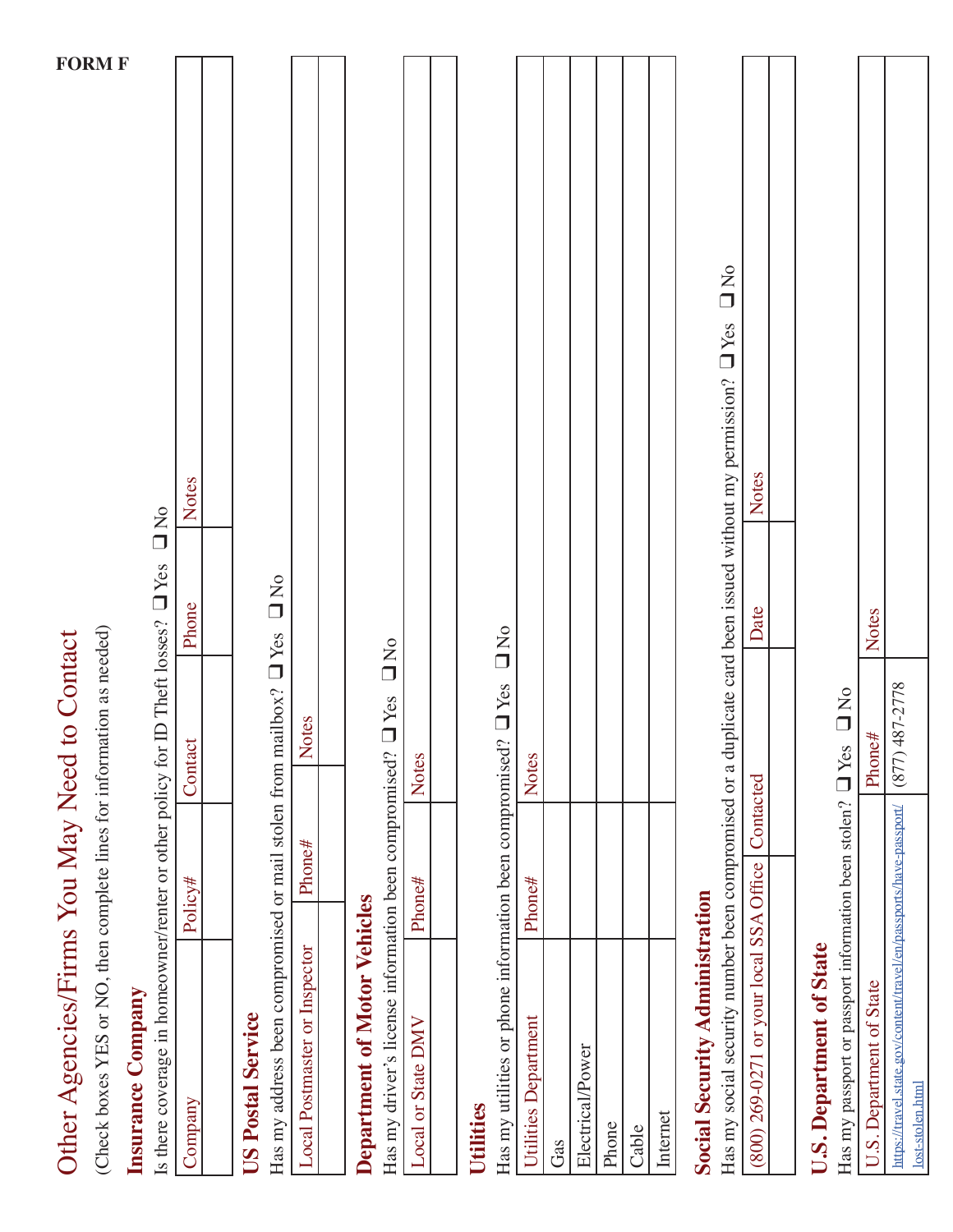| Other Agencies/Firms You May Need                                                                             |           | to Contact           |                  |                                                                                          |               |
|---------------------------------------------------------------------------------------------------------------|-----------|----------------------|------------------|------------------------------------------------------------------------------------------|---------------|
| (Check boxes YES or NO, then complete lines for information as needed)                                        |           |                      |                  |                                                                                          | <b>FORM F</b> |
| Is there coverage in homeowner/renter or other policy for ID Theft losses? $\square$ Yes<br>Insurance Company |           |                      |                  | D<br>N<br>O<br>O<br>N<br>O                                                               |               |
| Company                                                                                                       | Policy#   | Contact              | Phone            | Notes                                                                                    |               |
|                                                                                                               |           |                      |                  |                                                                                          |               |
| <b>US Postal Service</b>                                                                                      |           |                      |                  |                                                                                          |               |
| Has my address been compromised or mail stolen from mailbox? U Yes                                            |           |                      | $\sum_{i=1}^{n}$ |                                                                                          |               |
| Local Postmaster or Inspector                                                                                 | Phone#    | Notes                |                  |                                                                                          |               |
|                                                                                                               |           |                      |                  |                                                                                          |               |
| <b>Department of Motor Vehicles</b>                                                                           |           |                      |                  |                                                                                          |               |
| Has my driver's license information been compromised?                                                         |           | <b>O</b> Yes DNo     |                  |                                                                                          |               |
| Local or State DMV                                                                                            | $P$ hone# | <b>Notes</b>         |                  |                                                                                          |               |
|                                                                                                               |           |                      |                  |                                                                                          |               |
| <b>Utilities</b>                                                                                              |           |                      |                  |                                                                                          |               |
| Has my utilities or phone information been compromised? $\Box$ Yes                                            |           |                      | $\sum_{i=1}^{n}$ |                                                                                          |               |
| Utilities Department                                                                                          | Phone#    | <b>Notes</b>         |                  |                                                                                          |               |
| Gas                                                                                                           |           |                      |                  |                                                                                          |               |
| Electrical/Power                                                                                              |           |                      |                  |                                                                                          |               |
| Phone                                                                                                         |           |                      |                  |                                                                                          |               |
| Cable                                                                                                         |           |                      |                  |                                                                                          |               |
| Internet                                                                                                      |           |                      |                  |                                                                                          |               |
| <b>Social Security Administration</b>                                                                         |           |                      |                  |                                                                                          |               |
| Has my social security number been compromised or a                                                           |           |                      |                  | D<br>D<br>O<br>N<br>O<br>duplicate card been issued without my permission? $\square$ Yes |               |
| (800) 269-0271 or your local SSA Office   Contacted                                                           |           |                      | Date             | Notes                                                                                    |               |
|                                                                                                               |           |                      |                  |                                                                                          |               |
| <b>U.S. Department of State</b>                                                                               |           |                      |                  |                                                                                          |               |
| Has my passport or passport information been stolen?                                                          |           | $\Box$ Yes $\Box$ No |                  |                                                                                          |               |
| U.S. Department of State                                                                                      |           | Phone#               | Notes            |                                                                                          |               |
| https://travel.state.gov/content/travel/en/passports/have-passport/<br>lost-stolen.html                       |           | 487-2778<br>(877)    |                  |                                                                                          |               |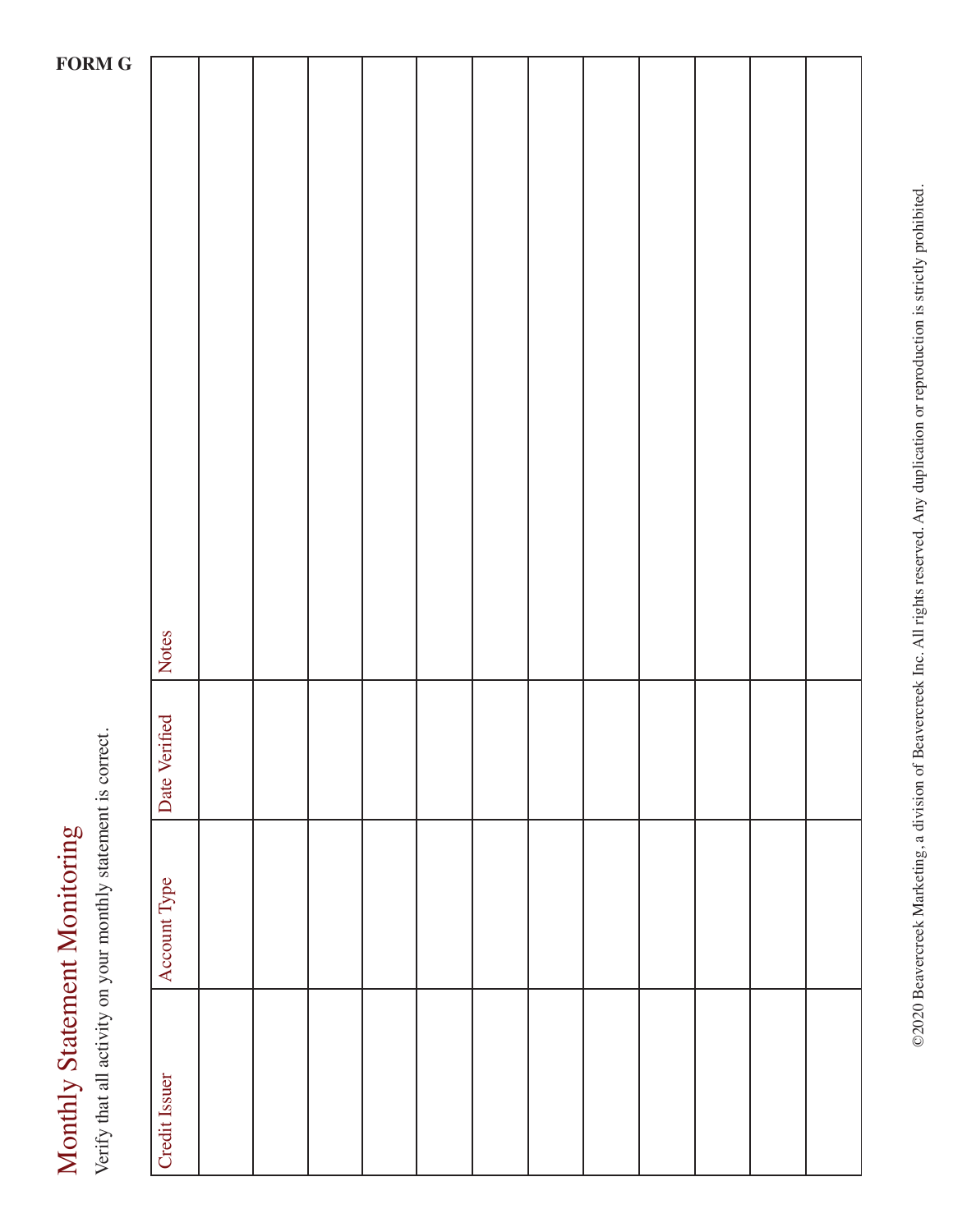Verify that all activity on your monthly statement is correct. Verify that all activity on your monthly statement is correct.

| $\mathbf G$ |               |  |  |  |  |  |  |
|-------------|---------------|--|--|--|--|--|--|
|             |               |  |  |  |  |  |  |
|             |               |  |  |  |  |  |  |
|             |               |  |  |  |  |  |  |
|             |               |  |  |  |  |  |  |
|             |               |  |  |  |  |  |  |
|             |               |  |  |  |  |  |  |
|             |               |  |  |  |  |  |  |
|             |               |  |  |  |  |  |  |
|             |               |  |  |  |  |  |  |
|             |               |  |  |  |  |  |  |
|             |               |  |  |  |  |  |  |
|             |               |  |  |  |  |  |  |
|             |               |  |  |  |  |  |  |
|             |               |  |  |  |  |  |  |
|             |               |  |  |  |  |  |  |
|             |               |  |  |  |  |  |  |
|             |               |  |  |  |  |  |  |
|             |               |  |  |  |  |  |  |
|             |               |  |  |  |  |  |  |
|             | Notes         |  |  |  |  |  |  |
|             |               |  |  |  |  |  |  |
|             |               |  |  |  |  |  |  |
|             |               |  |  |  |  |  |  |
|             |               |  |  |  |  |  |  |
|             | Date Verified |  |  |  |  |  |  |
|             |               |  |  |  |  |  |  |
|             |               |  |  |  |  |  |  |
|             |               |  |  |  |  |  |  |
|             | Account Type  |  |  |  |  |  |  |
|             |               |  |  |  |  |  |  |
|             |               |  |  |  |  |  |  |
|             |               |  |  |  |  |  |  |
|             |               |  |  |  |  |  |  |
|             |               |  |  |  |  |  |  |
|             |               |  |  |  |  |  |  |
|             |               |  |  |  |  |  |  |
|             | Credit Issuer |  |  |  |  |  |  |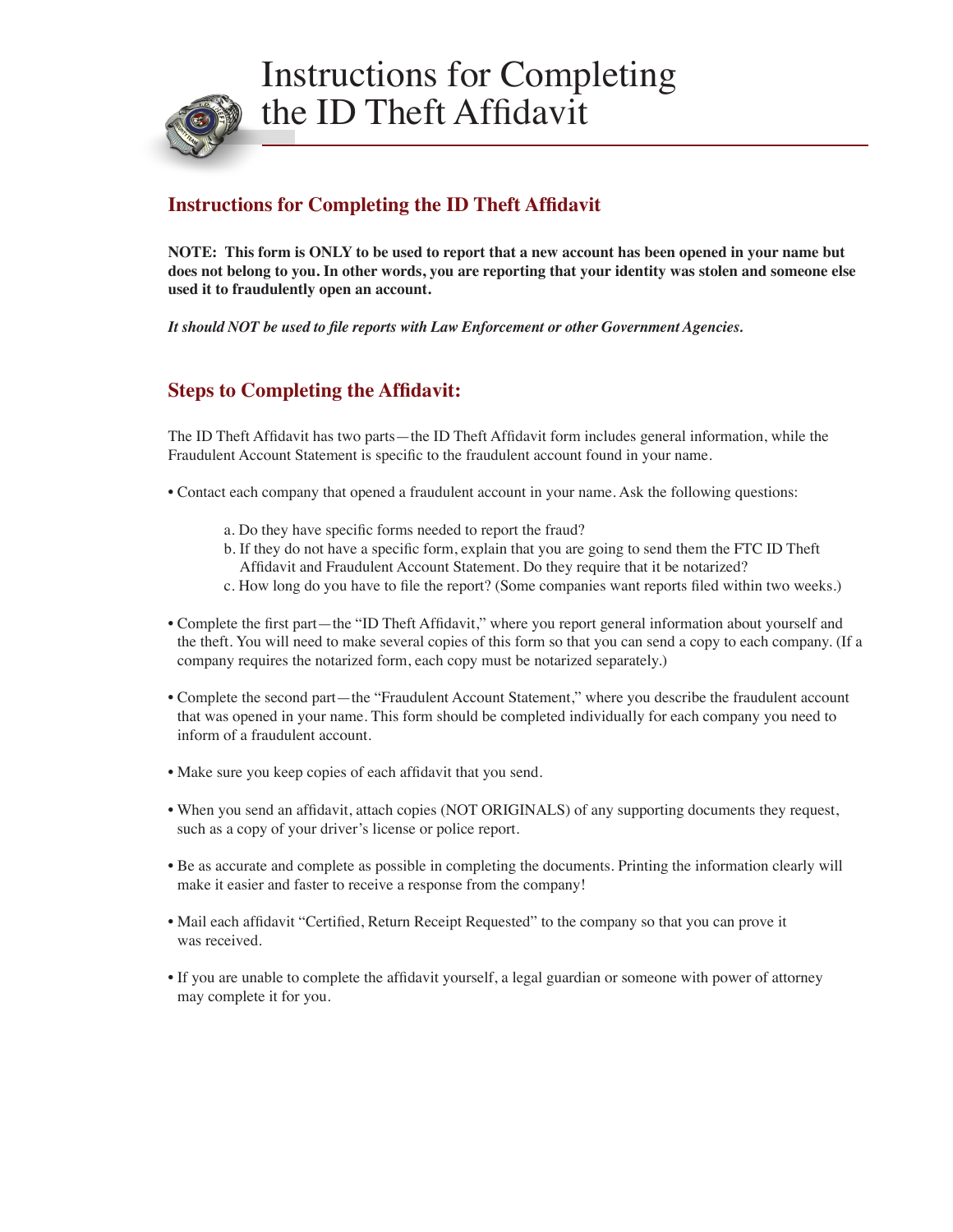

#### **Instructions for Completing the ID Theft Affidavit**

**NOTE: This form is ONLY to be used to report that a new account has been opened in your name but does not belong to you. In other words, you are reporting that your identity was stolen and someone else used it to fraudulently open an account.** 

*It should NOT be used to file reports with Law Enforcement or other Government Agencies.*

#### **Steps to Completing the Affidavit:**

The ID Theft Affidavit has two parts—the ID Theft Affidavit form includes general information, while the Fraudulent Account Statement is specific to the fraudulent account found in your name.

- Contact each company that opened a fraudulent account in your name. Ask the following questions:
	- a. Do they have specific forms needed to report the fraud?
	- b. If they do not have a specific form, explain that you are going to send them the FTC ID Theft Affidavit and Fraudulent Account Statement. Do they require that it be notarized?
	- c. How long do you have to file the report? (Some companies want reports filed within two weeks.)
- Complete the first part—the "ID Theft Affidavit," where you report general information about yourself and the theft. You will need to make several copies of this form so that you can send a copy to each company. (If a company requires the notarized form, each copy must be notarized separately.)
- Complete the second part—the "Fraudulent Account Statement," where you describe the fraudulent account that was opened in your name. This form should be completed individually for each company you need to inform of a fraudulent account.
- Make sure you keep copies of each affidavit that you send.
- When you send an affidavit, attach copies (NOT ORIGINALS) of any supporting documents they request, such as a copy of your driver's license or police report.
- Be as accurate and complete as possible in completing the documents. Printing the information clearly will make it easier and faster to receive a response from the company!
- Mail each affidavit "Certified, Return Receipt Requested" to the company so that you can prove it was received.
- If you are unable to complete the affidavit yourself, a legal guardian or someone with power of attorney may complete it for you.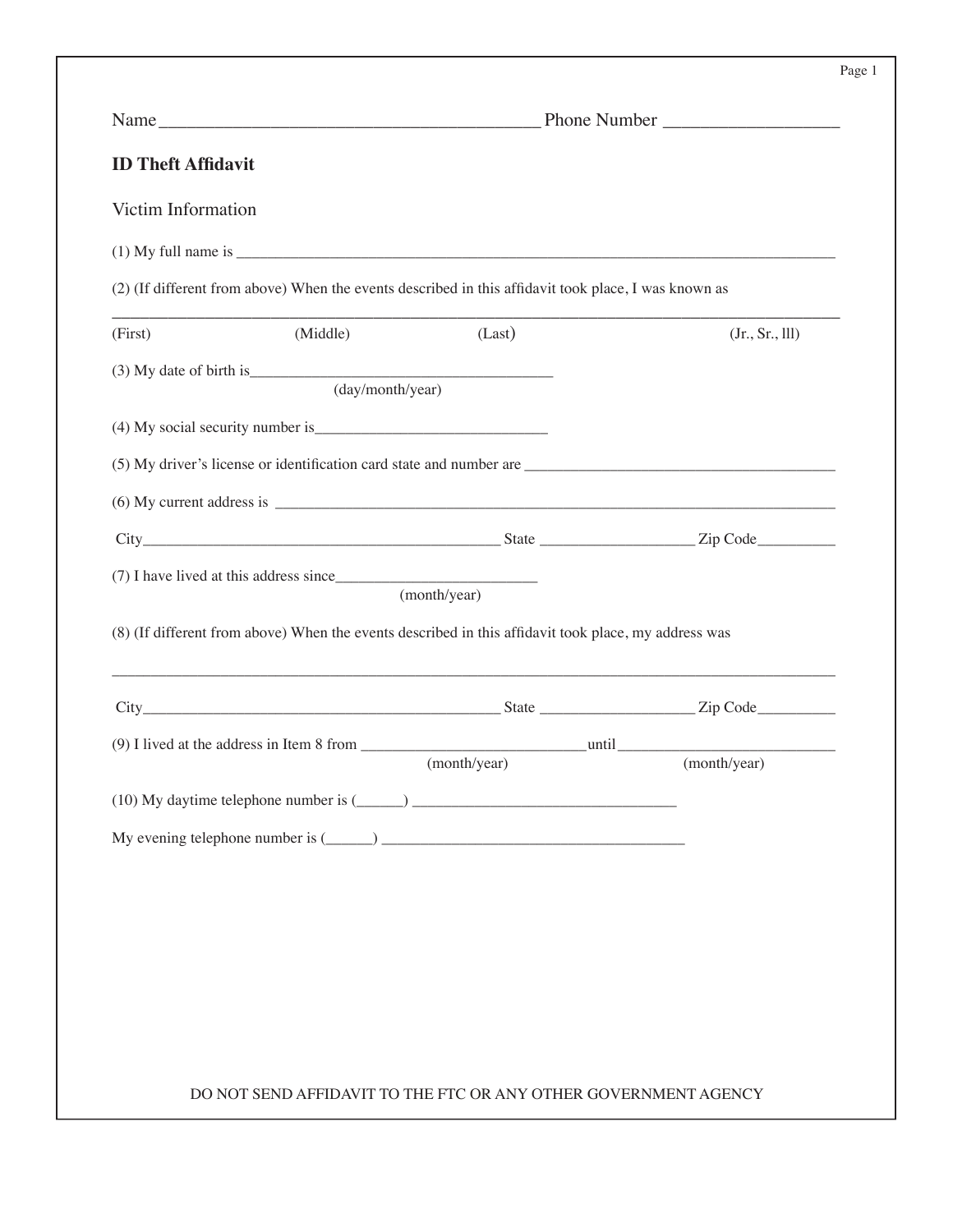|--|--|

| <b>ID Theft Affidavit</b>                                                                            |              |                |
|------------------------------------------------------------------------------------------------------|--------------|----------------|
| Victim Information                                                                                   |              |                |
|                                                                                                      |              |                |
| (2) (If different from above) When the events described in this affidavit took place, I was known as |              |                |
| (Middle)<br>(First)                                                                                  | (Last)       | (Jr., Sr., ll) |
| (day/month/year)                                                                                     |              |                |
|                                                                                                      |              |                |
|                                                                                                      |              |                |
|                                                                                                      |              |                |
|                                                                                                      |              |                |
|                                                                                                      | (month/year) |                |
|                                                                                                      |              |                |
|                                                                                                      |              |                |
| (8) (If different from above) When the events described in this affidavit took place, my address was | (month/year) | (month/year)   |
|                                                                                                      |              |                |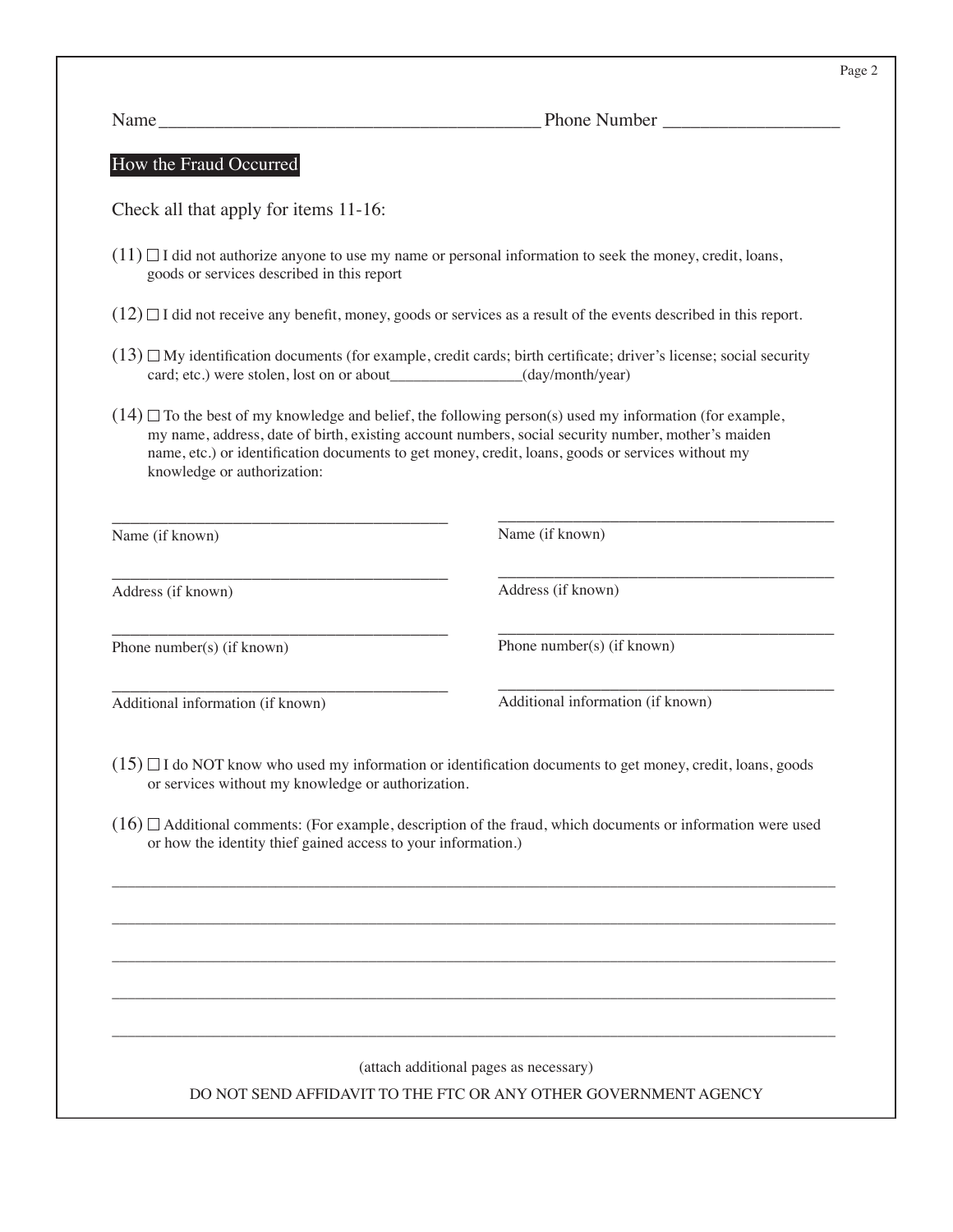Name\_\_\_\_\_\_\_\_\_\_\_\_\_\_\_\_\_\_\_\_\_\_\_\_\_\_\_\_\_\_\_\_\_\_\_\_\_\_\_\_\_ Phone Number \_\_\_\_\_\_\_\_\_\_\_\_\_\_\_\_\_\_\_

#### How the Fraud Occurred

Check all that apply for items 11-16:

- $(11)$   $\Box$  I did not authorize anyone to use my name or personal information to seek the money, credit, loans, goods or services described in this report
- $(12)$  I did not receive any benefit, money, goods or services as a result of the events described in this report.
- $(13)$   $\Box$  My identification documents (for example, credit cards; birth certificate; driver's license; social security card; etc.) were stolen, lost on or about\_\_\_\_\_\_\_\_\_\_\_\_\_\_\_\_\_(day/month/year)
- $(14)$   $\Box$  To the best of my knowledge and belief, the following person(s) used my information (for example, my name, address, date of birth, existing account numbers, social security number, mother's maiden name, etc.) or identification documents to get money, credit, loans, goods or services without my knowledge or authorization:

| Name (if known)                   | Name (if known)                   |
|-----------------------------------|-----------------------------------|
| Address (if known)                | Address (if known)                |
| Phone number(s) (if known)        | Phone number(s) (if known)        |
| Additional information (if known) | Additional information (if known) |

- $(15)$   $\Box$  I do NOT know who used my information or identification documents to get money, credit, loans, goods or services without my knowledge or authorization.
- $(16)$   $\Box$  Additional comments: (For example, description of the fraud, which documents or information were used or how the identity thief gained access to your information.)

\_\_\_\_\_\_\_\_\_\_\_\_\_\_\_\_\_\_\_\_\_\_\_\_\_\_\_\_\_\_\_\_\_\_\_\_\_\_\_\_\_\_\_\_\_\_\_\_\_\_\_\_\_\_\_\_\_\_\_\_\_\_\_\_\_\_\_\_\_\_\_\_\_\_\_\_\_\_\_\_\_\_\_\_\_\_\_\_\_\_\_\_\_

\_\_\_\_\_\_\_\_\_\_\_\_\_\_\_\_\_\_\_\_\_\_\_\_\_\_\_\_\_\_\_\_\_\_\_\_\_\_\_\_\_\_\_\_\_\_\_\_\_\_\_\_\_\_\_\_\_\_\_\_\_\_\_\_\_\_\_\_\_\_\_\_\_\_\_\_\_\_\_\_\_\_\_\_\_\_\_\_\_\_\_\_\_

\_\_\_\_\_\_\_\_\_\_\_\_\_\_\_\_\_\_\_\_\_\_\_\_\_\_\_\_\_\_\_\_\_\_\_\_\_\_\_\_\_\_\_\_\_\_\_\_\_\_\_\_\_\_\_\_\_\_\_\_\_\_\_\_\_\_\_\_\_\_\_\_\_\_\_\_\_\_\_\_\_\_\_\_\_\_\_\_\_\_\_\_\_

\_\_\_\_\_\_\_\_\_\_\_\_\_\_\_\_\_\_\_\_\_\_\_\_\_\_\_\_\_\_\_\_\_\_\_\_\_\_\_\_\_\_\_\_\_\_\_\_\_\_\_\_\_\_\_\_\_\_\_\_\_\_\_\_\_\_\_\_\_\_\_\_\_\_\_\_\_\_\_\_\_\_\_\_\_\_\_\_\_\_\_\_\_

\_\_\_\_\_\_\_\_\_\_\_\_\_\_\_\_\_\_\_\_\_\_\_\_\_\_\_\_\_\_\_\_\_\_\_\_\_\_\_\_\_\_\_\_\_\_\_\_\_\_\_\_\_\_\_\_\_\_\_\_\_\_\_\_\_\_\_\_\_\_\_\_\_\_\_\_\_\_\_\_\_\_\_\_\_\_\_\_\_\_\_\_\_

(attach additional pages as necessary)

DO NOT SEND AFFIDAVIT TO THE FTC OR ANY OTHER GOVERNMENT AGENCY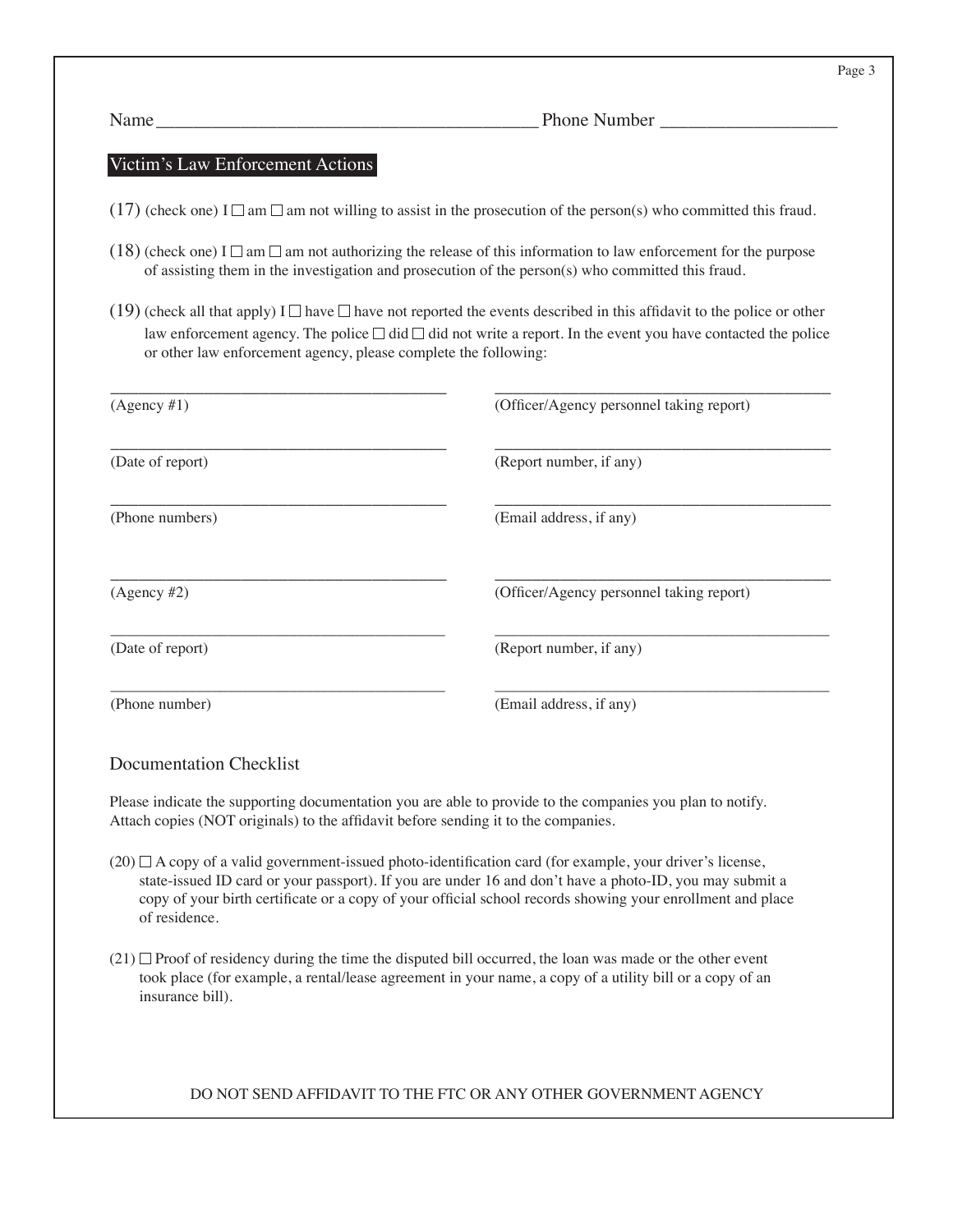| am |  |
|----|--|
|----|--|

Phone Number \_

#### Victim's Law Enforcement Actions

- (17) (check one) I  $\Box$  am  $\Box$  am not willing to assist in the prosecution of the person(s) who committed this fraud.
- (18) (check one) I  $\Box$  am  $\Box$  am not authorizing the release of this information to law enforcement for the purpose of assisting them in the investigation and prosecution of the person(s) who committed this fraud.
- (19) (check all that apply)  $I \Box$  have  $\Box$  have not reported the events described in this affidavit to the police or other law enforcement agency. The police  $\Box$  did  $\Box$  did not write a report. In the event you have contacted the police or other law enforcement agency, please complete the following:

| (Agency #1)      | (Officer/Agency personnel taking report) |
|------------------|------------------------------------------|
| (Date of report) | (Report number, if any)                  |
| (Phone numbers)  | (Email address, if any)                  |
| $(Agency \#2)$   | (Officer/Agency personnel taking report) |
| (Date of report) | (Report number, if any)                  |
| (Phone number)   | (Email address, if any)                  |

#### Documentation Checklist

Please indicate the supporting documentation you are able to provide to the companies you plan to notify. Attach copies (NOT originals) to the affidavit before sending it to the companies.

- $(20)$   $\Box$  A copy of a valid government-issued photo-identification card (for example, your driver's license, state-issued ID card or your passport). If you are under 16 and don't have a photo-ID, you may submit a copy of your birth certificate or a copy of your official school records showing your enrollment and place of residence.
- $(21)$  Proof of residency during the time the disputed bill occurred, the loan was made or the other event took place (for example, a rental/lease agreement in your name, a copy of a utility bill or a copy of an insurance bill).

#### DO NOT SEND AFFIDAVIT TO THE FTC OR ANY OTHER GOVERNMENT AGENCY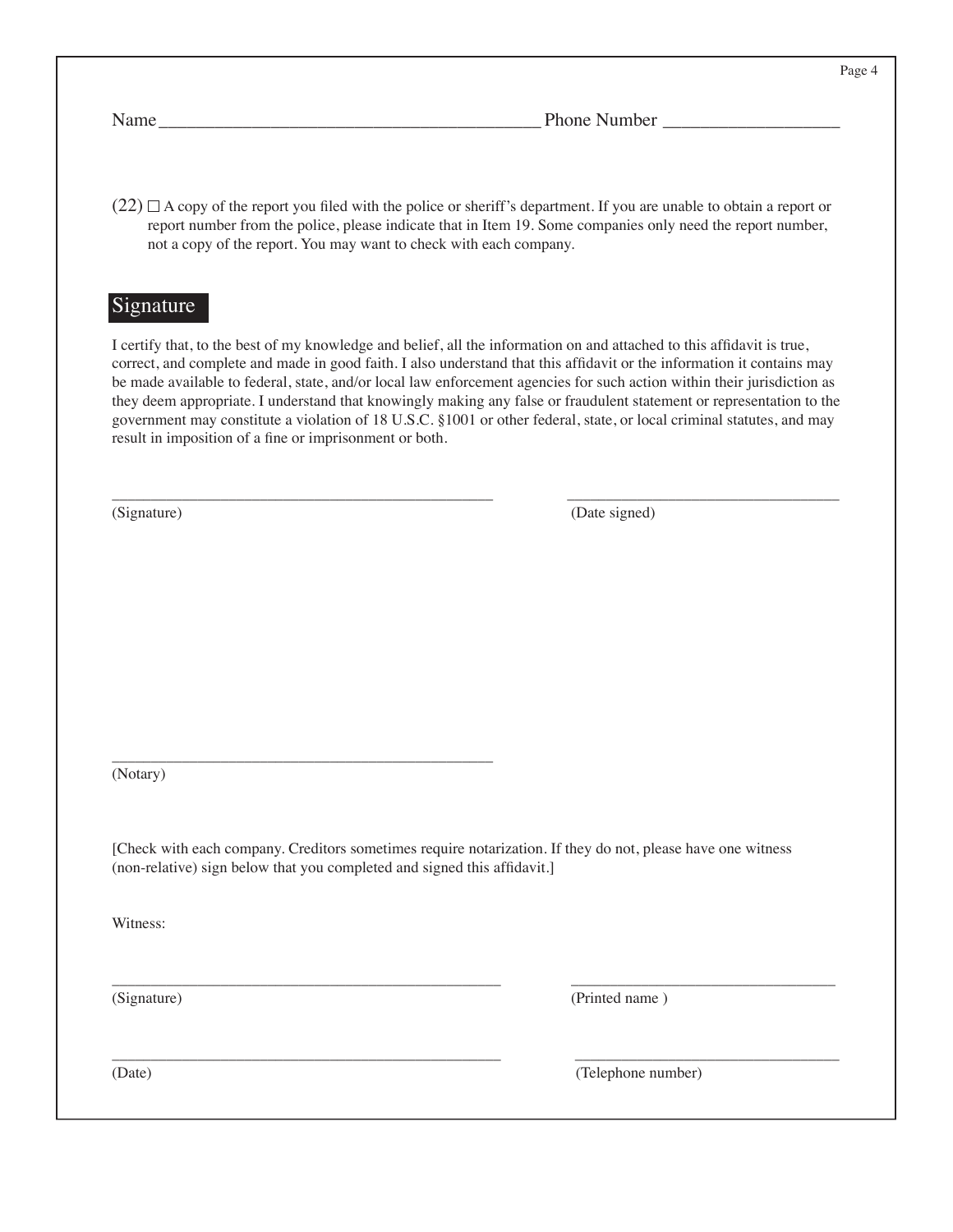Page 4

Name\_\_\_\_\_\_\_\_\_\_\_\_\_\_\_\_\_\_\_\_\_\_\_\_\_\_\_\_\_\_\_\_\_\_\_\_\_\_\_\_\_ Phone Number \_\_\_\_\_\_\_\_\_\_\_\_\_\_\_\_\_\_\_

 $(22)$   $\Box$  A copy of the report you filed with the police or sheriff's department. If you are unable to obtain a report or report number from the police, please indicate that in Item 19. Some companies only need the report number, not a copy of the report. You may want to check with each company.

#### **Signature**

I certify that, to the best of my knowledge and belief, all the information on and attached to this affidavit is true, correct, and complete and made in good faith. I also understand that this affidavit or the information it contains may be made available to federal, state, and/or local law enforcement agencies for such action within their jurisdiction as they deem appropriate. I understand that knowingly making any false or fraudulent statement or representation to the government may constitute a violation of 18 U.S.C. §1001 or other federal, state, or local criminal statutes, and may result in imposition of a fine or imprisonment or both.

\_\_\_\_\_\_\_\_\_\_\_\_\_\_\_\_\_\_\_\_\_\_\_\_\_\_\_\_\_\_\_\_\_\_\_\_\_\_\_\_\_\_\_\_\_\_\_\_\_ \_\_\_\_\_\_\_\_\_\_\_\_\_\_\_\_\_\_\_\_\_\_\_\_\_\_\_\_\_\_\_\_\_\_\_

(Signature) (Date signed)

\_\_\_\_\_\_\_\_\_\_\_\_\_\_\_\_\_\_\_\_\_\_\_\_\_\_\_\_\_\_\_\_\_\_\_\_\_\_\_\_\_\_\_\_\_\_\_\_\_ (Notary)

[Check with each company. Creditors sometimes require notarization. If they do not, please have one witness (non-relative) sign below that you completed and signed this affidavit.]

\_\_\_\_\_\_\_\_\_\_\_\_\_\_\_\_\_\_\_\_\_\_\_\_\_\_\_\_\_\_\_\_\_\_\_\_\_\_\_\_\_\_\_\_\_\_\_\_\_\_ \_\_\_\_\_\_\_\_\_\_\_\_\_\_\_\_\_\_\_\_\_\_\_\_\_\_\_\_\_\_\_\_\_\_

\_\_\_\_\_\_\_\_\_\_\_\_\_\_\_\_\_\_\_\_\_\_\_\_\_\_\_\_\_\_\_\_\_\_\_\_\_\_\_\_\_\_\_\_\_\_\_\_\_\_ \_\_\_\_\_\_\_\_\_\_\_\_\_\_\_\_\_\_\_\_\_\_\_\_\_\_\_\_\_\_\_\_\_\_

Witness:

(Signature) (Printed name )

(Date) (Telephone number)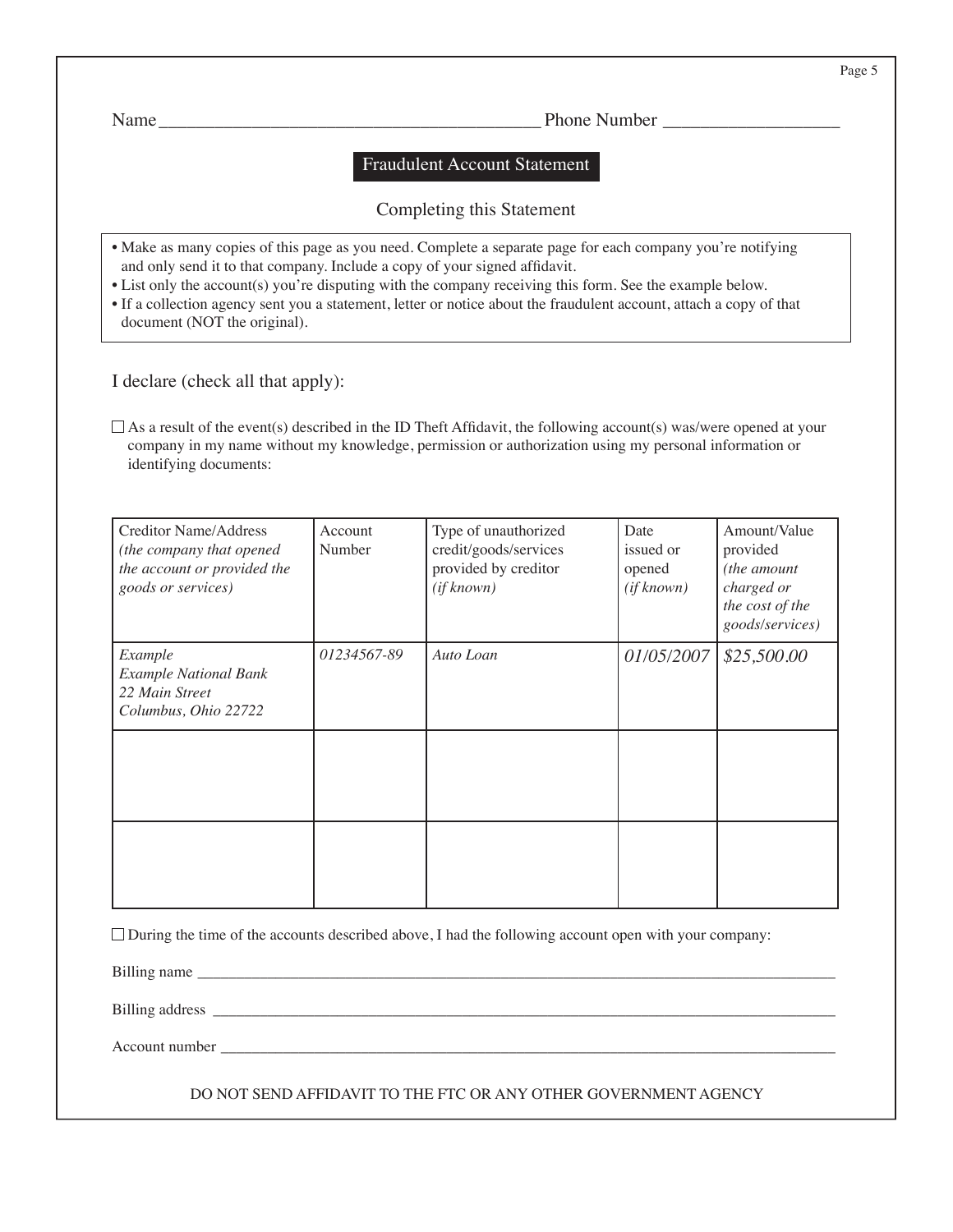Name\_\_\_\_\_\_\_\_\_\_\_\_\_\_\_\_\_\_\_\_\_\_\_\_\_\_\_\_\_\_\_\_\_\_\_\_\_\_\_\_\_ Phone Number \_\_\_\_\_\_\_\_\_\_\_\_\_\_\_\_\_\_\_

#### Fraudulent Account Statement

#### Completing this Statement

- Make as many copies of this page as you need. Complete a separate page for each company you're notifying and only send it to that company. Include a copy of your signed affidavit.
- List only the account(s) you're disputing with the company receiving this form. See the example below.
- If a collection agency sent you a statement, letter or notice about the fraudulent account, attach a copy of that document (NOT the original).

I declare (check all that apply):

 $\Box$  As a result of the event(s) described in the ID Theft Affidavit, the following account(s) was/were opened at your company in my name without my knowledge, permission or authorization using my personal information or identifying documents:

| <b>Creditor Name/Address</b><br>(the company that opened<br>the account or provided the<br>goods or services) | Account<br>Number | Type of unauthorized<br>credit/goods/services<br>provided by creditor<br>(if known) | Date<br>issued or<br>opened<br>(if known) | Amount/Value<br>provided<br>(the amount<br>charged or<br>the cost of the<br>goods/services) |
|---------------------------------------------------------------------------------------------------------------|-------------------|-------------------------------------------------------------------------------------|-------------------------------------------|---------------------------------------------------------------------------------------------|
| Example<br><b>Example National Bank</b><br>22 Main Street<br>Columbus, Ohio 22722                             | 01234567-89       | Auto Loan                                                                           | 01/05/2007                                | \$25,500.00                                                                                 |
|                                                                                                               |                   |                                                                                     |                                           |                                                                                             |
|                                                                                                               |                   |                                                                                     |                                           |                                                                                             |

 $\Box$  During the time of the accounts described above, I had the following account open with your company:

Billing name

Billing address \_\_\_\_\_\_\_\_\_\_\_\_\_\_\_\_\_\_\_\_\_\_\_\_\_\_\_\_\_\_\_\_\_\_\_\_\_\_\_\_\_\_\_\_\_\_\_\_\_\_\_\_\_\_\_\_\_\_\_\_\_\_\_\_\_\_\_\_\_\_\_\_\_\_\_\_\_\_\_\_

Account number \_\_\_\_\_\_\_\_\_\_\_\_\_\_\_\_\_\_\_\_\_\_\_\_\_\_\_\_\_\_\_\_\_\_\_\_\_\_\_\_\_\_\_\_\_\_\_\_\_\_\_\_\_\_\_\_\_\_\_\_\_\_\_\_\_\_\_\_\_\_\_\_\_\_\_\_\_\_\_

DO NOT SEND AFFIDAVIT TO THE FTC OR ANY OTHER GOVERNMENT AGENCY

Page 5